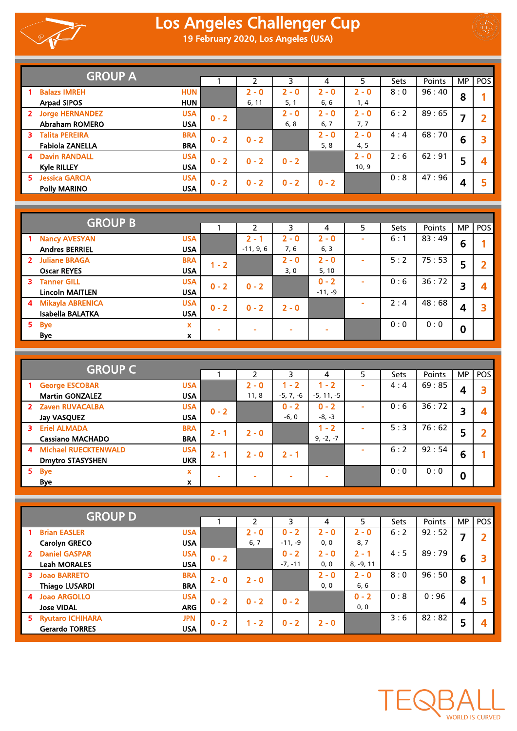



|              | <b>GROUP A</b>                       |         |         |         |         |         |      |        |    |                |
|--------------|--------------------------------------|---------|---------|---------|---------|---------|------|--------|----|----------------|
|              |                                      |         |         | 3       | 4       | 5       | Sets | Points | MP | POS            |
|              | <b>Balazs IMREH</b><br><b>HUN</b>    |         | $2 - 0$ | $2 - 0$ | $2 - 0$ | $2 - 0$ | 8:0  | 96:40  | 8  |                |
|              | <b>Arpad SIPOS</b><br><b>HUN</b>     |         | 6, 11   | 5, 1    | 6, 6    | 1,4     |      |        |    |                |
| $\mathbf{2}$ | <b>Jorge HERNANDEZ</b><br><b>USA</b> | $0 - 2$ |         | $2 - 0$ | $2 - 0$ | $2 - 0$ | 6:2  | 89:65  |    | $\overline{2}$ |
|              | <b>Abraham ROMERO</b><br><b>USA</b>  |         |         | 6, 8    | 6, 7    | 7,7     |      |        |    |                |
| з.           | <b>Talita PEREIRA</b><br><b>BRA</b>  | $0 - 2$ | $0 - 2$ |         | $2 - 0$ | $2 - 0$ | 4:4  | 68:70  | 6  | 3              |
|              | <b>Fabiola ZANELLA</b><br><b>BRA</b> |         |         |         | 5, 8    | 4, 5    |      |        |    |                |
| 4            | <b>Davin RANDALL</b><br><b>USA</b>   | $0 - 2$ | $0 - 2$ | $0 - 2$ |         | $2 - 0$ | 2:6  | 62:91  | 5  | 4              |
|              | <b>Kyle RILLEY</b><br><b>USA</b>     |         |         |         |         | 10, 9   |      |        |    |                |
| 5.           | <b>Jessica GARCIA</b><br><b>USA</b>  | $0 - 2$ | $0 - 2$ | $0 - 2$ | $0 - 2$ |         | 0:8  | 47:96  | Δ  | 5              |
|              | <b>Polly MARINO</b><br><b>USA</b>    |         |         |         |         |         |      |        |    |                |

|                | <b>GROUP B</b>         |            |         |             |         |           |             |        |       |          |  |
|----------------|------------------------|------------|---------|-------------|---------|-----------|-------------|--------|-------|----------|--|
|                |                        |            |         | 3           | 4       | 5         | <b>Sets</b> | Points | MP.   | POS      |  |
|                | <b>Nancy AVESYAN</b>   | <b>USA</b> |         | $2 - 1$     | $2 - 0$ | $2 - 0$   |             | 6:1    | 83:49 | 6        |  |
|                | <b>Andres BERRIEL</b>  | <b>USA</b> |         | $-11, 9, 6$ | 7,6     | 6, 3      |             |        |       |          |  |
|                | 2 Juliane BRAGA        | <b>BRA</b> | $1 - 2$ |             | $2 - 0$ | $2 - 0$   |             | 5:2    | 75:53 | 5        |  |
|                | <b>Oscar REYES</b>     | <b>USA</b> |         |             | 3,0     | 5, 10     |             |        |       |          |  |
| 3.             | <b>Tanner GILL</b>     | <b>USA</b> | $0 - 2$ | $0 - 2$     |         | $0 - 2$   |             | 0:6    | 36:72 | 3        |  |
|                | <b>Lincoln MAITLEN</b> | <b>USA</b> |         |             |         | $-11, -9$ |             |        |       |          |  |
|                | 4 Mikayla ABRENICA     | <b>USA</b> | $0 - 2$ | $0 - 2$     | $2 - 0$ |           |             | 2:4    | 48:68 | 4        |  |
|                | Isabella BALATKA       | <b>USA</b> |         |             |         |           |             |        |       |          |  |
| 5 <sub>1</sub> | <b>Bye</b>             | x          |         |             | ۰       |           |             | 0:0    | 0:0   | $\bf{0}$ |  |
|                | Bye                    | x          |         |             |         |           |             |        |       |          |  |

|    | <b>GROUP C</b>          |             |         |         |             |              |      |        |       |     |   |
|----|-------------------------|-------------|---------|---------|-------------|--------------|------|--------|-------|-----|---|
|    |                         |             |         | 3       | 4           | 5            | Sets | Points | MP.   | POS |   |
|    | <b>George ESCOBAR</b>   | <b>USA</b>  |         | $2 - 0$ | 1 - 2       | $-2$         |      | 4:4    | 69:85 | 4   |   |
|    | <b>Martin GONZALEZ</b>  | <b>USA</b>  |         | 11, 8   | $-5, 7, -6$ | $-5, 11, -5$ |      |        |       |     |   |
|    | 2 Zaven RUVACALBA       | <b>USA</b>  | $0 - 2$ |         | $0 - 2$     | $0 - 2$      |      | 0:6    | 36:72 | 3   | Δ |
|    | <b>Jay VASQUEZ</b>      | <b>USA</b>  |         |         | $-6, 0$     | $-8, -3$     |      |        |       |     |   |
| 3  | <b>Eriel ALMADA</b>     | <b>BRA</b>  | $2 - 1$ | $2 - 0$ |             | $1 - 2$      |      | 5:3    | 76:62 | 5   |   |
|    | <b>Cassiano MACHADO</b> | <b>BRA</b>  |         |         |             | $9, -2, -7$  |      |        |       |     |   |
|    | 4 Michael RUECKTENWALD  | <b>USA</b>  | $2 - 1$ | $2 - 0$ | $2 - 1$     |              |      | 6:2    | 92:54 | 6   |   |
|    | <b>Dmytro STASYSHEN</b> | <b>UKR</b>  |         |         |             |              |      |        |       |     |   |
| 5. | <b>Bye</b>              | $\mathbf x$ |         |         | -           |              |      | 0:0    | 0:0   | 0   |   |
|    | <b>Bye</b>              | X           |         |         |             |              |      |        |       |     |   |

| <b>GROUP D</b> |                       |            |         |         |           |         |             |        |           |     |   |
|----------------|-----------------------|------------|---------|---------|-----------|---------|-------------|--------|-----------|-----|---|
|                |                       |            | ่า      | 3       | 4         | 5       | <b>Sets</b> | Points | <b>MP</b> | POS |   |
|                | <b>Brian EASLER</b>   | <b>USA</b> |         | $2 - 0$ | $0 - 2$   | $2 - 0$ | $2 - 0$     | 6:2    | 92:52     | 7   |   |
|                | <b>Carolyn GRECO</b>  | <b>USA</b> |         | 6, 7    | $-11, -9$ | 0, 0    | 8,7         |        |           |     |   |
| $\mathbf{2}$   | <b>Daniel GASPAR</b>  | <b>USA</b> | $0 - 2$ |         | $0 - 2$   | $2 - 0$ | $2 - 1$     | 4:5    | 89:79     | 6   |   |
|                | <b>Leah MORALES</b>   | <b>USA</b> |         |         | $-7, -11$ | 0, 0    | $8, -9, 11$ |        |           |     |   |
| 3.             | <b>Joao BARRETO</b>   | <b>BRA</b> | $2 - 0$ | $2 - 0$ |           | $2 - 0$ | $2 - 0$     | 8:0    | 96:50     | 8   |   |
|                | <b>Thiago LUSARDI</b> | <b>BRA</b> |         |         |           | 0, 0    | $6, 6$      |        |           |     |   |
| $\overline{4}$ | <b>Joao ARGOLLO</b>   | <b>USA</b> | $0 - 2$ | $0 - 2$ | $0 - 2$   |         | $0 - 2$     | 0:8    | 0:96      | 4   |   |
|                | <b>Jose VIDAL</b>     | <b>ARG</b> |         |         |           |         | 0, 0        |        |           |     |   |
|                | 5 Ryutaro ICHIHARA    | <b>JPN</b> | $0 - 2$ | $1 - 2$ | $0 - 2$   | $2 - 0$ |             | 3:6    | 82:82     | 5   | 4 |
|                | <b>Gerardo TORRES</b> | <b>USA</b> |         |         |           |         |             |        |           |     |   |